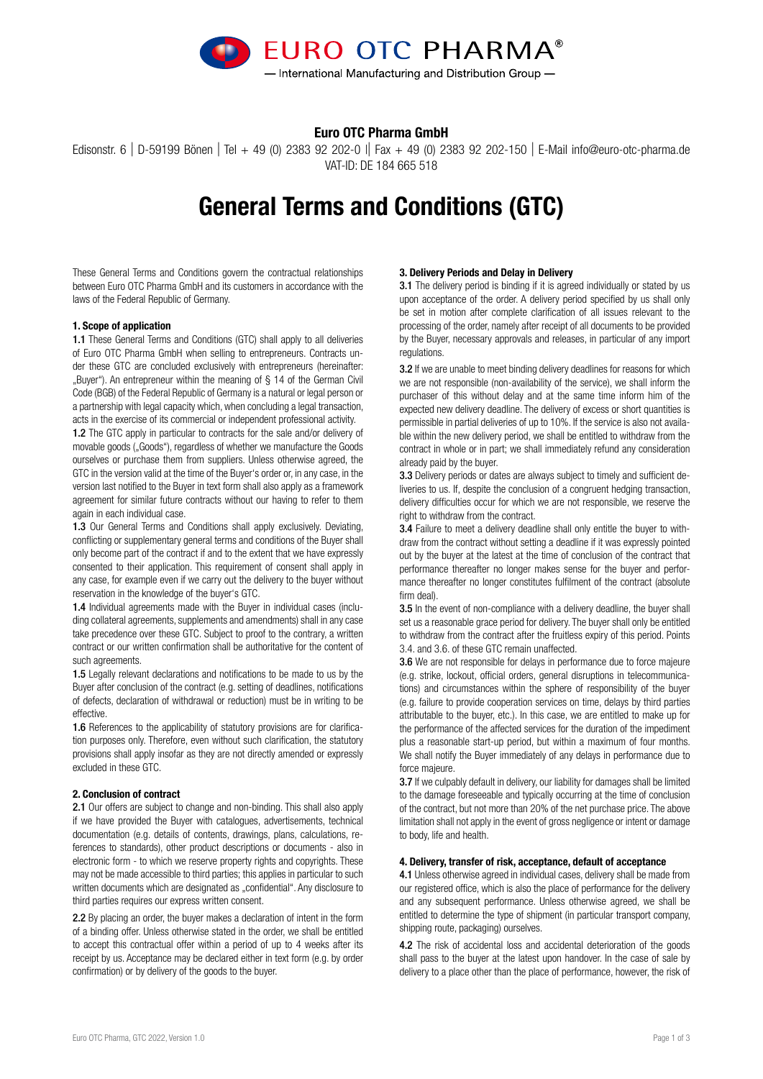

## Euro OTC Pharma GmbH

Edisonstr. 6 | D-59199 Bönen | Tel + 49 (0) 2383 92 202-0 || Fax + 49 (0) 2383 92 202-150 | E-Mail info@euro-otc-pharma.de VAT-ID: DE 184 665 518

# General Terms and Conditions (GTC)

These General Terms and Conditions govern the contractual relationships between Euro OTC Pharma GmbH and its customers in accordance with the laws of the Federal Republic of Germany.

### 1. Scope of application

1.1 These General Terms and Conditions (GTC) shall apply to all deliveries of Euro OTC Pharma GmbH when selling to entrepreneurs. Contracts under these GTC are concluded exclusively with entrepreneurs (hereinafter: "Buyer"). An entrepreneur within the meaning of § 14 of the German Civil Code (BGB) of the Federal Republic of Germany is a natural or legal person or a partnership with legal capacity which, when concluding a legal transaction, acts in the exercise of its commercial or independent professional activity.

1.2 The GTC apply in particular to contracts for the sale and/or delivery of movable goods ("Goods"), regardless of whether we manufacture the Goods ourselves or purchase them from suppliers. Unless otherwise agreed, the GTC in the version valid at the time of the Buyer's order or, in any case, in the version last notified to the Buyer in text form shall also apply as a framework agreement for similar future contracts without our having to refer to them again in each individual case.

1.3 Our General Terms and Conditions shall apply exclusively. Deviating, conflicting or supplementary general terms and conditions of the Buyer shall only become part of the contract if and to the extent that we have expressly consented to their application. This requirement of consent shall apply in any case, for example even if we carry out the delivery to the buyer without reservation in the knowledge of the buyer's GTC.

1.4 Individual agreements made with the Buyer in individual cases (including collateral agreements, supplements and amendments) shall in any case take precedence over these GTC. Subject to proof to the contrary, a written contract or our written confirmation shall be authoritative for the content of such agreements.

1.5 Legally relevant declarations and notifications to be made to us by the Buyer after conclusion of the contract (e.g. setting of deadlines, notifications of defects, declaration of withdrawal or reduction) must be in writing to be effective.

1.6 References to the applicability of statutory provisions are for clarification purposes only. Therefore, even without such clarification, the statutory provisions shall apply insofar as they are not directly amended or expressly excluded in these GTC.

#### 2. Conclusion of contract

2.1 Our offers are subject to change and non-binding. This shall also apply if we have provided the Buyer with catalogues, advertisements, technical documentation (e.g. details of contents, drawings, plans, calculations, references to standards), other product descriptions or documents - also in electronic form - to which we reserve property rights and copyrights. These may not be made accessible to third parties; this applies in particular to such written documents which are designated as "confidential". Any disclosure to third parties requires our express written consent.

2.2 By placing an order, the buyer makes a declaration of intent in the form of a binding offer. Unless otherwise stated in the order, we shall be entitled to accept this contractual offer within a period of up to 4 weeks after its receipt by us. Acceptance may be declared either in text form (e.g. by order confirmation) or by delivery of the goods to the buyer.

## 3. Delivery Periods and Delay in Delivery

3.1 The delivery period is binding if it is agreed individually or stated by us upon acceptance of the order. A delivery period specified by us shall only be set in motion after complete clarification of all issues relevant to the processing of the order, namely after receipt of all documents to be provided by the Buyer, necessary approvals and releases, in particular of any import regulations.

3.2 If we are unable to meet binding delivery deadlines for reasons for which we are not responsible (non-availability of the service), we shall inform the purchaser of this without delay and at the same time inform him of the expected new delivery deadline. The delivery of excess or short quantities is permissible in partial deliveries of up to 10%. If the service is also not available within the new delivery period, we shall be entitled to withdraw from the contract in whole or in part; we shall immediately refund any consideration already paid by the buyer.

3.3 Delivery periods or dates are always subject to timely and sufficient deliveries to us. If, despite the conclusion of a congruent hedging transaction, delivery difficulties occur for which we are not responsible, we reserve the right to withdraw from the contract.

3.4 Failure to meet a delivery deadline shall only entitle the buyer to withdraw from the contract without setting a deadline if it was expressly pointed out by the buyer at the latest at the time of conclusion of the contract that performance thereafter no longer makes sense for the buyer and performance thereafter no longer constitutes fulfilment of the contract (absolute firm deal)

3.5 In the event of non-compliance with a delivery deadline, the buyer shall set us a reasonable grace period for delivery. The buyer shall only be entitled to withdraw from the contract after the fruitless expiry of this period. Points 3.4. and 3.6. of these GTC remain unaffected.

3.6 We are not responsible for delays in performance due to force majeure (e.g. strike, lockout, official orders, general disruptions in telecommunications) and circumstances within the sphere of responsibility of the buyer (e.g. failure to provide cooperation services on time, delays by third parties attributable to the buyer, etc.). In this case, we are entitled to make up for the performance of the affected services for the duration of the impediment plus a reasonable start-up period, but within a maximum of four months. We shall notify the Buyer immediately of any delays in performance due to force majeure.

3.7 If we culpably default in delivery, our liability for damages shall be limited to the damage foreseeable and typically occurring at the time of conclusion of the contract, but not more than 20% of the net purchase price. The above limitation shall not apply in the event of gross negligence or intent or damage to body, life and health.

#### 4. Delivery, transfer of risk, acceptance, default of acceptance

4.1 Unless otherwise agreed in individual cases, delivery shall be made from our registered office, which is also the place of performance for the delivery and any subsequent performance. Unless otherwise agreed, we shall be entitled to determine the type of shipment (in particular transport company, shipping route, packaging) ourselves.

4.2 The risk of accidental loss and accidental deterioration of the goods shall pass to the buyer at the latest upon handover. In the case of sale by delivery to a place other than the place of performance, however, the risk of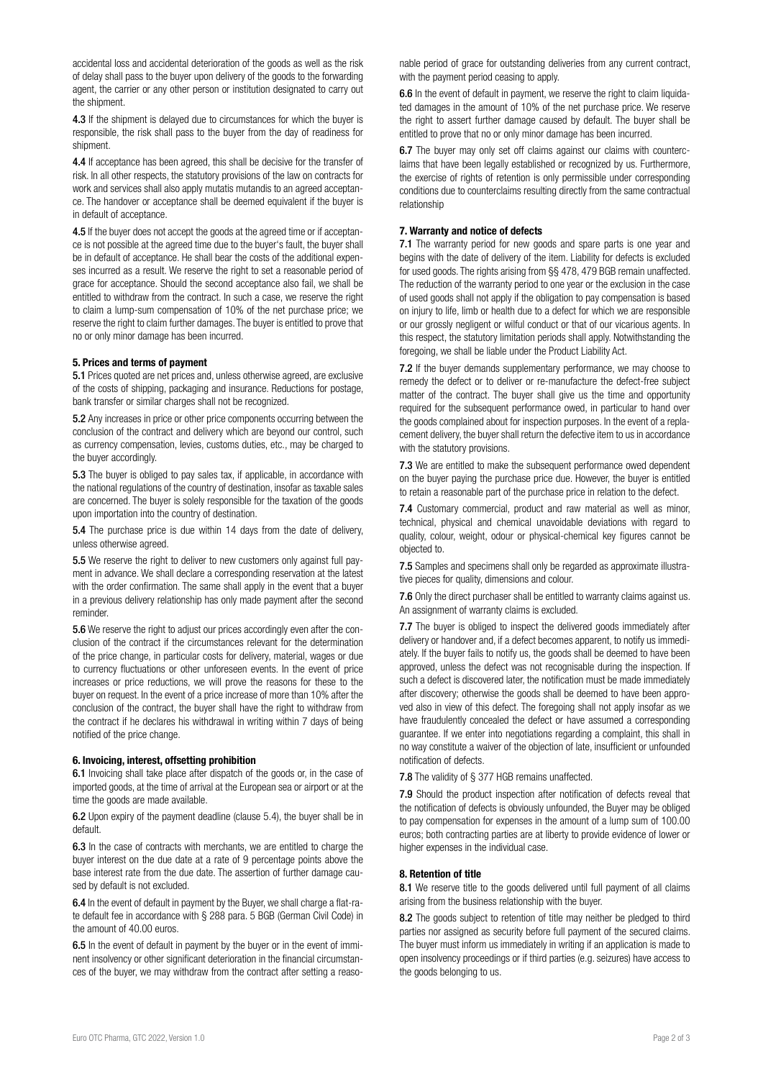accidental loss and accidental deterioration of the goods as well as the risk of delay shall pass to the buyer upon delivery of the goods to the forwarding agent, the carrier or any other person or institution designated to carry out the shipment.

4.3 If the shipment is delayed due to circumstances for which the buyer is responsible, the risk shall pass to the buyer from the day of readiness for shipment.

4.4 If acceptance has been agreed, this shall be decisive for the transfer of risk. In all other respects, the statutory provisions of the law on contracts for work and services shall also apply mutatis mutandis to an agreed acceptance. The handover or acceptance shall be deemed equivalent if the buyer is in default of acceptance.

4.5 If the buyer does not accept the goods at the agreed time or if acceptance is not possible at the agreed time due to the buyer's fault, the buyer shall be in default of acceptance. He shall bear the costs of the additional expenses incurred as a result. We reserve the right to set a reasonable period of grace for acceptance. Should the second acceptance also fail, we shall be entitled to withdraw from the contract. In such a case, we reserve the right to claim a lump-sum compensation of 10% of the net purchase price; we reserve the right to claim further damages. The buyer is entitled to prove that no or only minor damage has been incurred.

## 5. Prices and terms of payment

5.1 Prices quoted are net prices and, unless otherwise agreed, are exclusive of the costs of shipping, packaging and insurance. Reductions for postage, bank transfer or similar charges shall not be recognized.

5.2 Any increases in price or other price components occurring between the conclusion of the contract and delivery which are beyond our control, such as currency compensation, levies, customs duties, etc., may be charged to the buyer accordingly.

5.3 The buyer is obliged to pay sales tax, if applicable, in accordance with the national regulations of the country of destination, insofar as taxable sales are concerned. The buyer is solely responsible for the taxation of the goods upon importation into the country of destination.

5.4 The purchase price is due within 14 days from the date of delivery, unless otherwise agreed.

5.5 We reserve the right to deliver to new customers only against full payment in advance. We shall declare a corresponding reservation at the latest with the order confirmation. The same shall apply in the event that a buver in a previous delivery relationship has only made payment after the second reminder.

5.6 We reserve the right to adjust our prices accordingly even after the conclusion of the contract if the circumstances relevant for the determination of the price change, in particular costs for delivery, material, wages or due to currency fluctuations or other unforeseen events. In the event of price increases or price reductions, we will prove the reasons for these to the buyer on request. In the event of a price increase of more than 10% after the conclusion of the contract, the buyer shall have the right to withdraw from the contract if he declares his withdrawal in writing within 7 days of being notified of the price change.

#### 6. Invoicing, interest, offsetting prohibition

6.1 Invoicing shall take place after dispatch of the goods or, in the case of imported goods, at the time of arrival at the European sea or airport or at the time the goods are made available.

6.2 Upon expiry of the payment deadline (clause 5.4), the buyer shall be in default.

6.3 In the case of contracts with merchants, we are entitled to charge the buyer interest on the due date at a rate of 9 percentage points above the base interest rate from the due date. The assertion of further damage caused by default is not excluded.

6.4 In the event of default in payment by the Buyer, we shall charge a flat-rate default fee in accordance with § 288 para. 5 BGB (German Civil Code) in the amount of 40.00 euros.

6.5 In the event of default in payment by the buyer or in the event of imminent insolvency or other significant deterioration in the financial circumstances of the buyer, we may withdraw from the contract after setting a reasonable period of grace for outstanding deliveries from any current contract, with the payment period ceasing to apply.

6.6 In the event of default in payment, we reserve the right to claim liquidated damages in the amount of 10% of the net purchase price. We reserve the right to assert further damage caused by default. The buyer shall be entitled to prove that no or only minor damage has been incurred.

6.7 The buyer may only set off claims against our claims with counterclaims that have been legally established or recognized by us. Furthermore, the exercise of rights of retention is only permissible under corresponding conditions due to counterclaims resulting directly from the same contractual relationship

## 7. Warranty and notice of defects

7.1 The warranty period for new goods and spare parts is one year and begins with the date of delivery of the item. Liability for defects is excluded for used goods. The rights arising from §§ 478, 479 BGB remain unaffected. The reduction of the warranty period to one year or the exclusion in the case of used goods shall not apply if the obligation to pay compensation is based on injury to life, limb or health due to a defect for which we are responsible or our grossly negligent or wilful conduct or that of our vicarious agents. In this respect, the statutory limitation periods shall apply. Notwithstanding the foregoing, we shall be liable under the Product Liability Act.

7.2 If the buyer demands supplementary performance, we may choose to remedy the defect or to deliver or re-manufacture the defect-free subject matter of the contract. The buyer shall give us the time and opportunity required for the subsequent performance owed, in particular to hand over the goods complained about for inspection purposes. In the event of a replacement delivery, the buyer shall return the defective item to us in accordance with the statutory provisions.

7.3 We are entitled to make the subsequent performance owed dependent on the buyer paying the purchase price due. However, the buyer is entitled to retain a reasonable part of the purchase price in relation to the defect.

7.4 Customary commercial, product and raw material as well as minor, technical, physical and chemical unavoidable deviations with regard to quality, colour, weight, odour or physical-chemical key figures cannot be objected to.

7.5 Samples and specimens shall only be regarded as approximate illustrative pieces for quality, dimensions and colour.

7.6 Only the direct purchaser shall be entitled to warranty claims against us. An assignment of warranty claims is excluded.

**7.7** The buyer is obliged to inspect the delivered goods immediately after delivery or handover and, if a defect becomes apparent, to notify us immediately. If the buyer fails to notify us, the goods shall be deemed to have been approved, unless the defect was not recognisable during the inspection. If such a defect is discovered later, the notification must be made immediately after discovery; otherwise the goods shall be deemed to have been approved also in view of this defect. The foregoing shall not apply insofar as we have fraudulently concealed the defect or have assumed a corresponding guarantee. If we enter into negotiations regarding a complaint, this shall in no way constitute a waiver of the objection of late, insufficient or unfounded notification of defects.

7.8 The validity of § 377 HGB remains unaffected.

7.9 Should the product inspection after notification of defects reveal that the notification of defects is obviously unfounded, the Buyer may be obliged to pay compensation for expenses in the amount of a lump sum of 100.00 euros; both contracting parties are at liberty to provide evidence of lower or higher expenses in the individual case.

#### 8. Retention of title

8.1 We reserve title to the goods delivered until full payment of all claims arising from the business relationship with the buyer.

8.2 The goods subject to retention of title may neither be pledged to third parties nor assigned as security before full payment of the secured claims. The buyer must inform us immediately in writing if an application is made to open insolvency proceedings or if third parties (e.g. seizures) have access to the goods belonging to us.